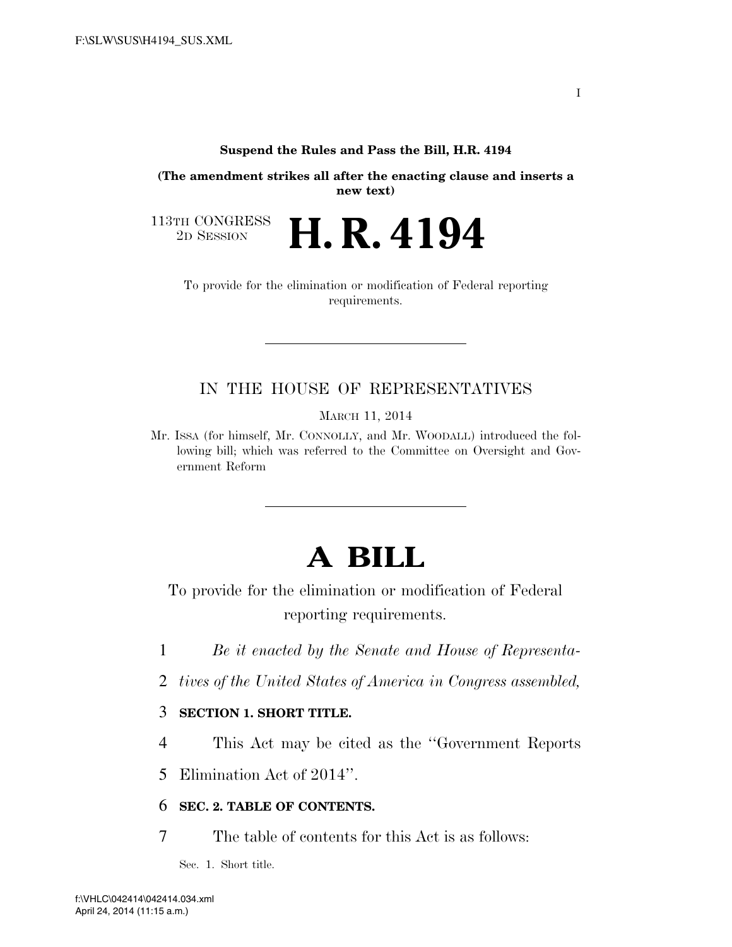### **Suspend the Rules and Pass the Bill, H.R. 4194**

**(The amendment strikes all after the enacting clause and inserts a new text)** 

2D SESSION **H. R. 4194**

113TH CONGRESS<br>2D SESSION

To provide for the elimination or modification of Federal reporting requirements.

## IN THE HOUSE OF REPRESENTATIVES

MARCH 11, 2014

Mr. ISSA (for himself, Mr. CONNOLLY, and Mr. WOODALL) introduced the following bill; which was referred to the Committee on Oversight and Government Reform

# **A BILL**

To provide for the elimination or modification of Federal reporting requirements.

- 1 *Be it enacted by the Senate and House of Representa-*
- 2 *tives of the United States of America in Congress assembled,*

## 3 **SECTION 1. SHORT TITLE.**

4 This Act may be cited as the ''Government Reports

5 Elimination Act of 2014''.

### 6 **SEC. 2. TABLE OF CONTENTS.**

7 The table of contents for this Act is as follows:

Sec. 1. Short title.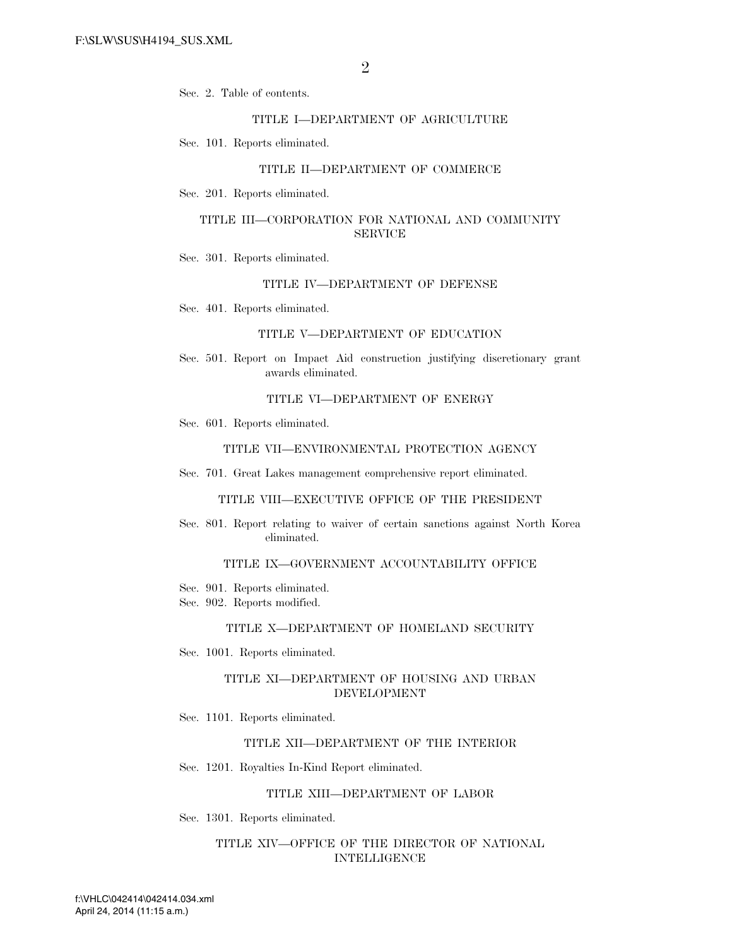Sec. 2. Table of contents.

### TITLE I—DEPARTMENT OF AGRICULTURE

Sec. 101. Reports eliminated.

#### TITLE II—DEPARTMENT OF COMMERCE

Sec. 201. Reports eliminated.

### TITLE III—CORPORATION FOR NATIONAL AND COMMUNITY **SERVICE**

Sec. 301. Reports eliminated.

#### TITLE IV—DEPARTMENT OF DEFENSE

Sec. 401. Reports eliminated.

#### TITLE V—DEPARTMENT OF EDUCATION

Sec. 501. Report on Impact Aid construction justifying discretionary grant awards eliminated.

### TITLE VI—DEPARTMENT OF ENERGY

Sec. 601. Reports eliminated.

#### TITLE VII—ENVIRONMENTAL PROTECTION AGENCY

Sec. 701. Great Lakes management comprehensive report eliminated.

#### TITLE VIII—EXECUTIVE OFFICE OF THE PRESIDENT

Sec. 801. Report relating to waiver of certain sanctions against North Korea eliminated.

### TITLE IX—GOVERNMENT ACCOUNTABILITY OFFICE

Sec. 901. Reports eliminated.

Sec. 902. Reports modified.

#### TITLE X—DEPARTMENT OF HOMELAND SECURITY

Sec. 1001. Reports eliminated.

### TITLE XI—DEPARTMENT OF HOUSING AND URBAN DEVELOPMENT

Sec. 1101. Reports eliminated.

#### TITLE XII—DEPARTMENT OF THE INTERIOR

Sec. 1201. Royalties In-Kind Report eliminated.

#### TITLE XIII—DEPARTMENT OF LABOR

Sec. 1301. Reports eliminated.

### TITLE XIV—OFFICE OF THE DIRECTOR OF NATIONAL INTELLIGENCE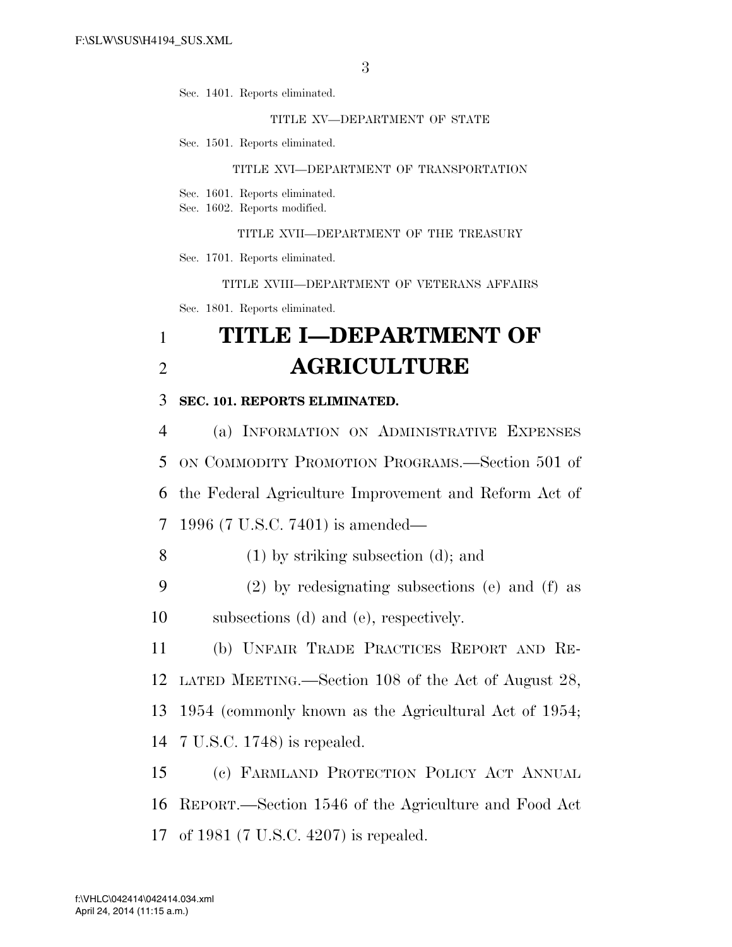Sec. 1401. Reports eliminated.

TITLE XV—DEPARTMENT OF STATE

Sec. 1501. Reports eliminated.

#### TITLE XVI—DEPARTMENT OF TRANSPORTATION

Sec. 1601. Reports eliminated.

Sec. 1602. Reports modified.

TITLE XVII—DEPARTMENT OF THE TREASURY

Sec. 1701. Reports eliminated.

TITLE XVIII—DEPARTMENT OF VETERANS AFFAIRS Sec. 1801. Reports eliminated.

## 1 **TITLE I—DEPARTMENT OF**  2 **AGRICULTURE**

## 3 **SEC. 101. REPORTS ELIMINATED.**

 (a) INFORMATION ON ADMINISTRATIVE EXPENSES ON COMMODITY PROMOTION PROGRAMS.—Section 501 of the Federal Agriculture Improvement and Reform Act of 1996 (7 U.S.C. 7401) is amended—

- 8 (1) by striking subsection (d); and
- 9 (2) by redesignating subsections (e) and (f) as 10 subsections (d) and (e), respectively.

 (b) UNFAIR TRADE PRACTICES REPORT AND RE- LATED MEETING.—Section 108 of the Act of August 28, 1954 (commonly known as the Agricultural Act of 1954; 7 U.S.C. 1748) is repealed.

15 (c) FARMLAND PROTECTION POLICY ACT ANNUAL 16 REPORT.—Section 1546 of the Agriculture and Food Act 17 of 1981 (7 U.S.C. 4207) is repealed.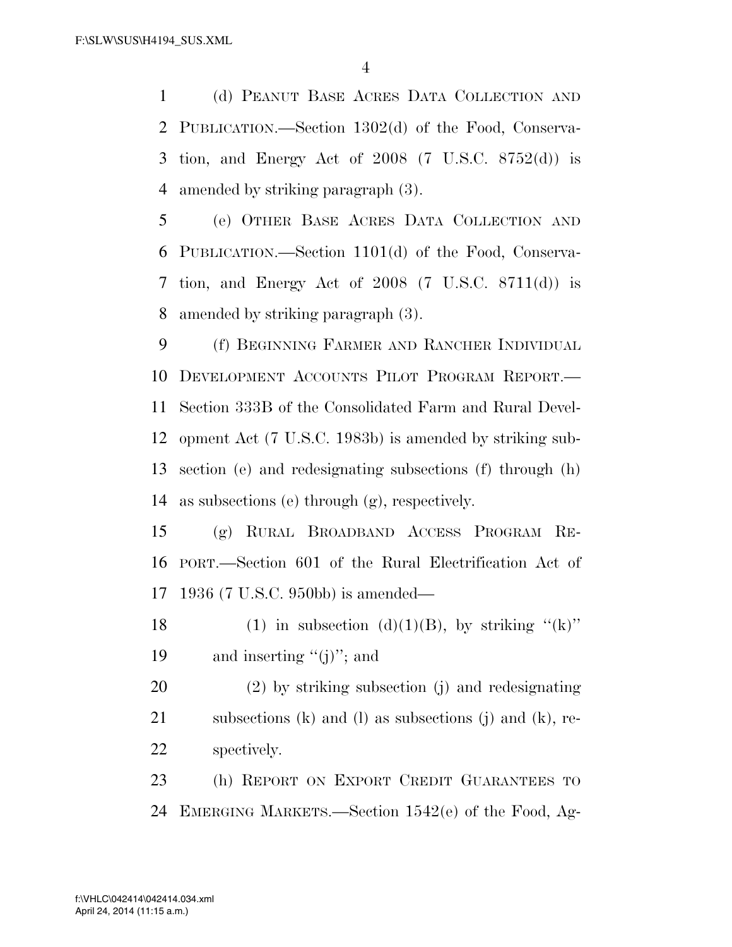(d) PEANUT BASE ACRES DATA COLLECTION AND PUBLICATION.—Section 1302(d) of the Food, Conserva- tion, and Energy Act of 2008 (7 U.S.C. 8752(d)) is amended by striking paragraph (3).

 (e) OTHER BASE ACRES DATA COLLECTION AND PUBLICATION.—Section 1101(d) of the Food, Conserva- tion, and Energy Act of 2008 (7 U.S.C. 8711(d)) is amended by striking paragraph (3).

 (f) BEGINNING FARMER AND RANCHER INDIVIDUAL DEVELOPMENT ACCOUNTS PILOT PROGRAM REPORT.— Section 333B of the Consolidated Farm and Rural Devel- opment Act (7 U.S.C. 1983b) is amended by striking sub- section (e) and redesignating subsections (f) through (h) as subsections (e) through (g), respectively.

 (g) RURAL BROADBAND ACCESS PROGRAM RE- PORT.—Section 601 of the Rural Electrification Act of 1936 (7 U.S.C. 950bb) is amended—

18 (1) in subsection (d)(1)(B), by striking " $(k)$ " 19 and inserting " $(j)$ "; and

 (2) by striking subsection (j) and redesignating subsections (k) and (l) as subsections (j) and (k), re-spectively.

 (h) REPORT ON EXPORT CREDIT GUARANTEES TO EMERGING MARKETS.—Section 1542(e) of the Food, Ag-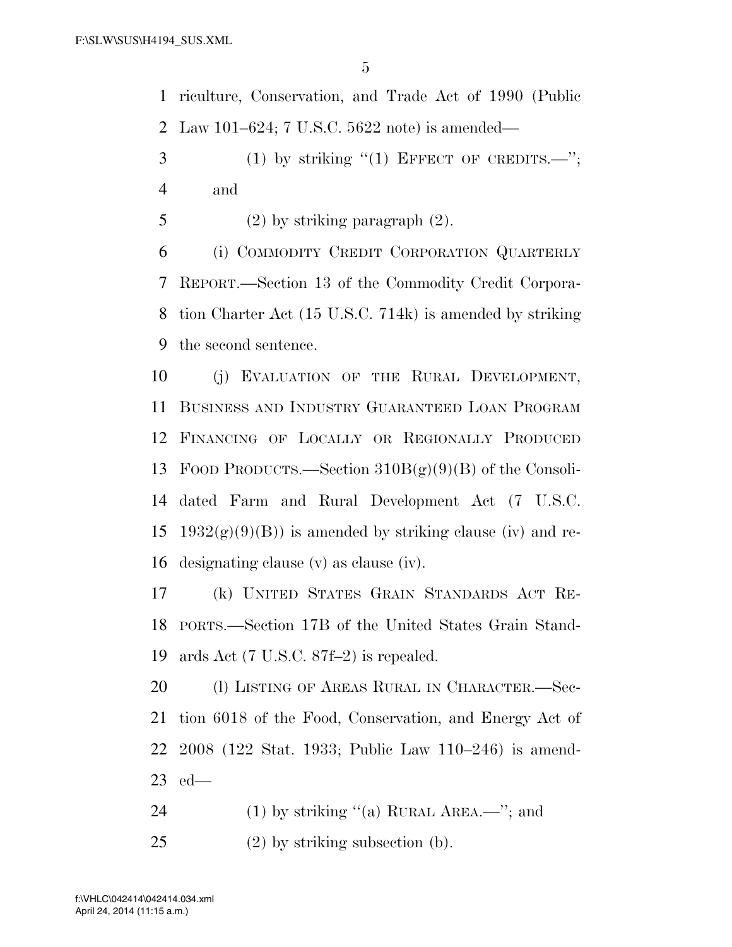riculture, Conservation, and Trade Act of 1990 (Public Law 101–624; 7 U.S.C. 5622 note) is amended—

- (1) by striking "(1) EFFECT OF CREDITS.—"; and
- 5 (2) by striking paragraph  $(2)$ .

 (i) COMMODITY CREDIT CORPORATION QUARTERLY REPORT.—Section 13 of the Commodity Credit Corpora- tion Charter Act (15 U.S.C. 714k) is amended by striking the second sentence.

 (j) EVALUATION OF THE RURAL DEVELOPMENT, BUSINESS AND INDUSTRY GUARANTEED LOAN PROGRAM FINANCING OF LOCALLY OR REGIONALLY PRODUCED FOOD PRODUCTS.—Section 310B(g)(9)(B) of the Consoli- dated Farm and Rural Development Act (7 U.S.C. 15 1932 $(g)(9)(B)$  is amended by striking clause (iv) and re-designating clause (v) as clause (iv).

 (k) UNITED STATES GRAIN STANDARDS ACT RE- PORTS.—Section 17B of the United States Grain Stand-ards Act (7 U.S.C. 87f–2) is repealed.

20 (1) LISTING OF AREAS RURAL IN CHARACTER. Sec- tion 6018 of the Food, Conservation, and Energy Act of 2008 (122 Stat. 1933; Public Law 110–246) is amend-ed—

- 24 (1) by striking  $(4)$  RURAL AREA.—"; and
- (2) by striking subsection (b).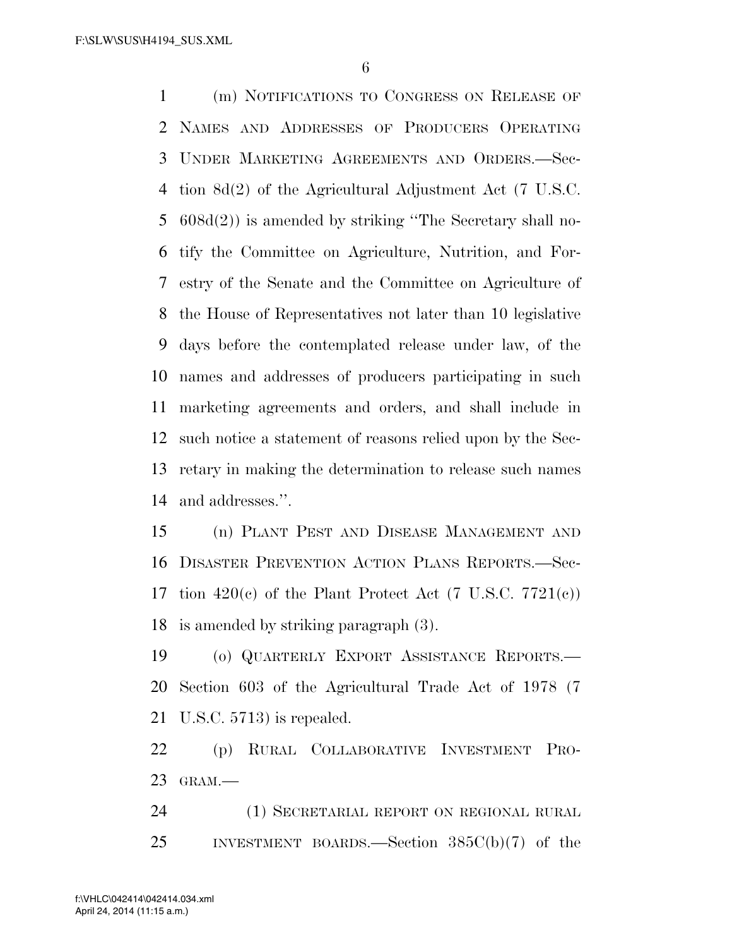(m) NOTIFICATIONS TO CONGRESS ON RELEASE OF NAMES AND ADDRESSES OF PRODUCERS OPERATING UNDER MARKETING AGREEMENTS AND ORDERS.—Sec- tion 8d(2) of the Agricultural Adjustment Act (7 U.S.C. 608d(2)) is amended by striking ''The Secretary shall no- tify the Committee on Agriculture, Nutrition, and For- estry of the Senate and the Committee on Agriculture of the House of Representatives not later than 10 legislative days before the contemplated release under law, of the names and addresses of producers participating in such marketing agreements and orders, and shall include in such notice a statement of reasons relied upon by the Sec- retary in making the determination to release such names and addresses.''.

 (n) PLANT PEST AND DISEASE MANAGEMENT AND DISASTER PREVENTION ACTION PLANS REPORTS.—Sec-17 tion  $420(e)$  of the Plant Protect Act (7 U.S.C. 7721(c)) is amended by striking paragraph (3).

 (o) QUARTERLY EXPORT ASSISTANCE REPORTS.— Section 603 of the Agricultural Trade Act of 1978 (7 U.S.C. 5713) is repealed.

 (p) RURAL COLLABORATIVE INVESTMENT PRO-GRAM.—

 (1) SECRETARIAL REPORT ON REGIONAL RURAL INVESTMENT BOARDS.—Section 385C(b)(7) of the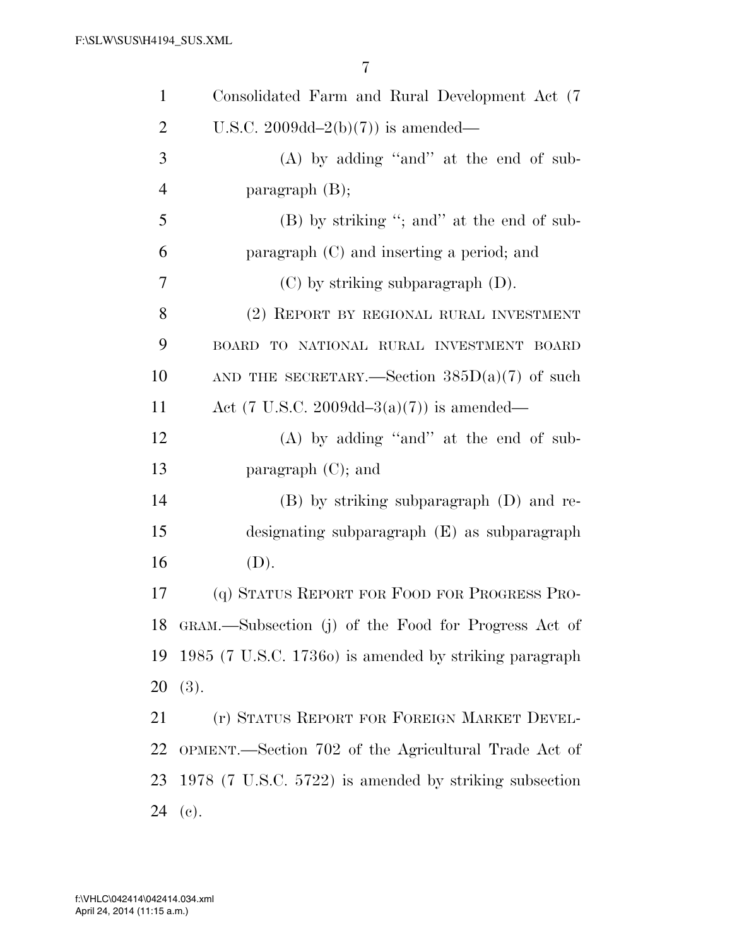| $\mathbf{1}$   | Consolidated Farm and Rural Development Act (7)        |
|----------------|--------------------------------------------------------|
| $\overline{2}$ | U.S.C. 2009dd-2(b)(7)) is amended—                     |
| 3              | (A) by adding "and" at the end of sub-                 |
| $\overline{4}$ | paragraph $(B)$ ;                                      |
| 5              | $(B)$ by striking "; and" at the end of sub-           |
| 6              | paragraph (C) and inserting a period; and              |
| 7              | $(C)$ by striking subparagraph $(D)$ .                 |
| 8              | (2) REPORT BY REGIONAL RURAL INVESTMENT                |
| 9              | BOARD TO NATIONAL RURAL INVESTMENT BOARD               |
| 10             | AND THE SECRETARY.—Section $385D(a)(7)$ of such        |
| 11             | Act (7 U.S.C. 2009dd-3(a)(7)) is amended—              |
| 12             | $(A)$ by adding "and" at the end of sub-               |
| 13             | paragraph $(C)$ ; and                                  |
| 14             | $(B)$ by striking subparagraph $(D)$ and re-           |
| 15             | designating subparagraph (E) as subparagraph           |
| 16             | (D).                                                   |
| 17             | (q) STATUS REPORT FOR FOOD FOR PROGRESS PRO-           |
| 18             | GRAM.—Subsection (j) of the Food for Progress Act of   |
| 19             | 1985 (7 U.S.C. 1736o) is amended by striking paragraph |
| 20             | (3).                                                   |
| 21             | (r) STATUS REPORT FOR FOREIGN MARKET DEVEL-            |
| 22             | OPMENT.—Section 702 of the Agricultural Trade Act of   |
| 23             | 1978 (7 U.S.C. 5722) is amended by striking subsection |
| 24             | (e).                                                   |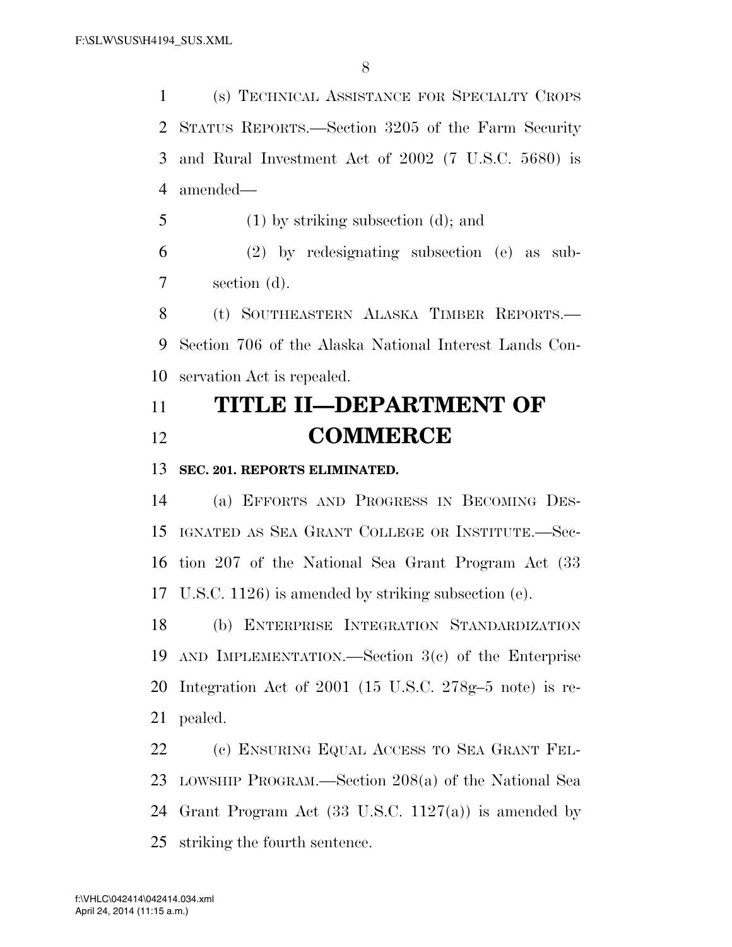(s) TECHNICAL ASSISTANCE FOR SPECIALTY CROPS STATUS REPORTS.—Section 3205 of the Farm Security and Rural Investment Act of 2002 (7 U.S.C. 5680) is amended—

(1) by striking subsection (d); and

 (2) by redesignating subsection (e) as sub-section (d).

 (t) SOUTHEASTERN ALASKA TIMBER REPORTS.— Section 706 of the Alaska National Interest Lands Con-servation Act is repealed.

## **TITLE II—DEPARTMENT OF COMMERCE**

**SEC. 201. REPORTS ELIMINATED.** 

 (a) EFFORTS AND PROGRESS IN BECOMING DES- IGNATED AS SEA GRANT COLLEGE OR INSTITUTE.—Sec- tion 207 of the National Sea Grant Program Act (33 U.S.C. 1126) is amended by striking subsection (e).

 (b) ENTERPRISE INTEGRATION STANDARDIZATION AND IMPLEMENTATION.—Section 3(c) of the Enterprise Integration Act of 2001 (15 U.S.C. 278g–5 note) is re-pealed.

 (c) ENSURING EQUAL ACCESS TO SEA GRANT FEL- LOWSHIP PROGRAM.—Section 208(a) of the National Sea Grant Program Act (33 U.S.C. 1127(a)) is amended by striking the fourth sentence.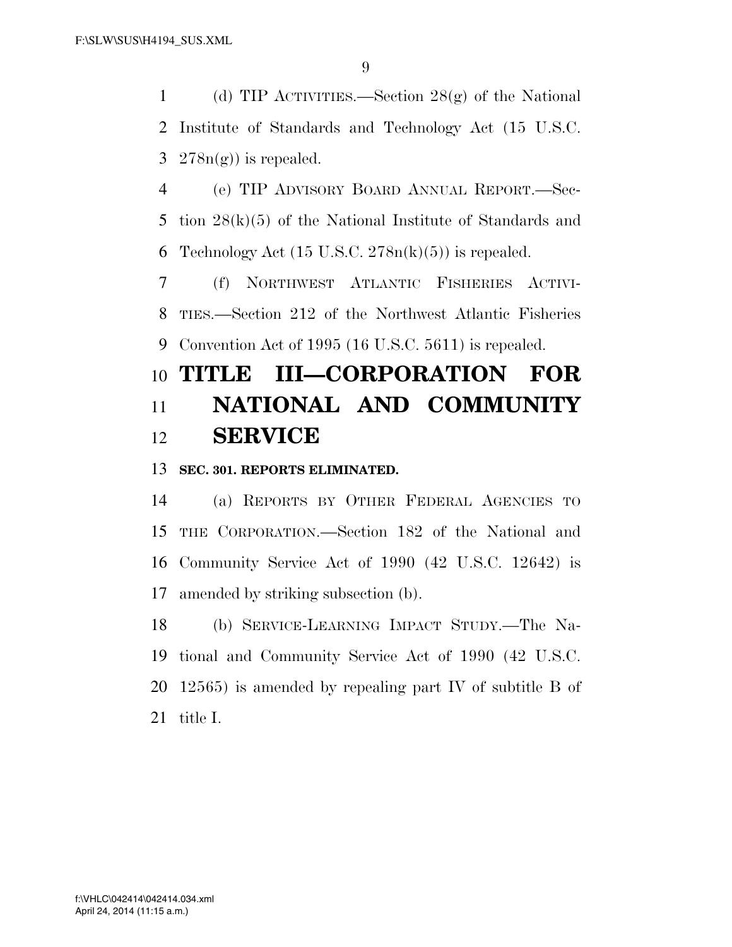1 (d) TIP ACTIVITIES.—Section  $28(g)$  of the National Institute of Standards and Technology Act (15 U.S.C. 3  $278n(g)$  is repealed.

 (e) TIP ADVISORY BOARD ANNUAL REPORT.—Sec- tion 28(k)(5) of the National Institute of Standards and 6 Technology Act  $(15 \text{ U.S.C. } 278n(k)(5))$  is repealed.

 (f) NORTHWEST ATLANTIC FISHERIES ACTIVI- TIES.—Section 212 of the Northwest Atlantic Fisheries Convention Act of 1995 (16 U.S.C. 5611) is repealed.

# **TITLE III—CORPORATION FOR NATIONAL AND COMMUNITY SERVICE**

## **SEC. 301. REPORTS ELIMINATED.**

 (a) REPORTS BY OTHER FEDERAL AGENCIES TO THE CORPORATION.—Section 182 of the National and Community Service Act of 1990 (42 U.S.C. 12642) is amended by striking subsection (b).

 (b) SERVICE-LEARNING IMPACT STUDY.—The Na- tional and Community Service Act of 1990 (42 U.S.C. 12565) is amended by repealing part IV of subtitle B of title I.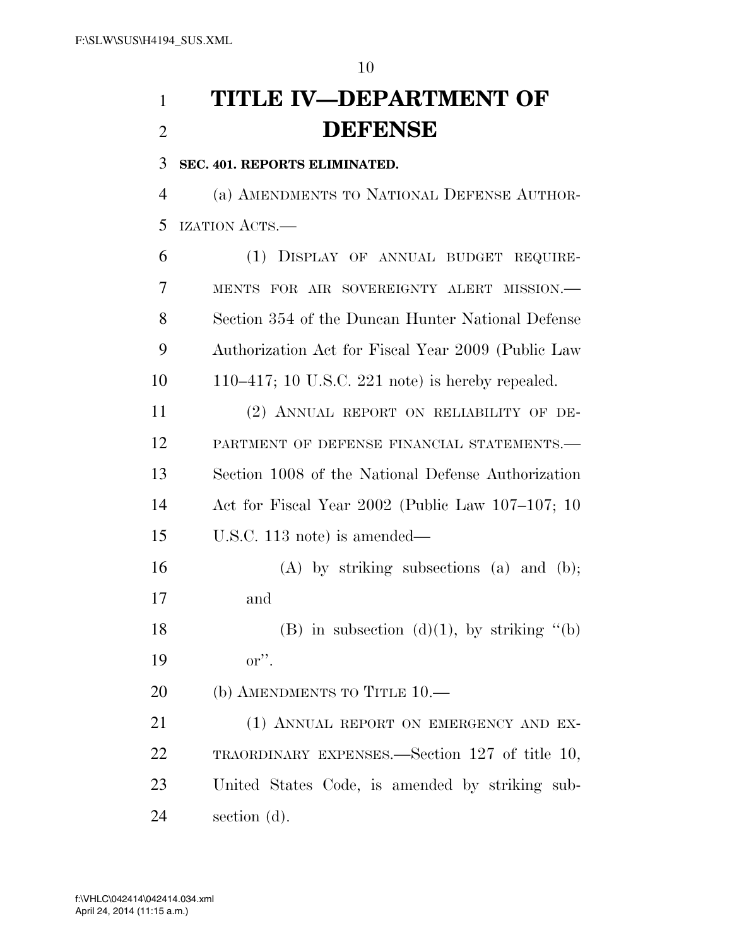# **TITLE IV—DEPARTMENT OF DEFENSE**

**SEC. 401. REPORTS ELIMINATED.** 

 (a) AMENDMENTS TO NATIONAL DEFENSE AUTHOR-IZATION ACTS.—

 (1) DISPLAY OF ANNUAL BUDGET REQUIRE- MENTS FOR AIR SOVEREIGNTY ALERT MISSION.— Section 354 of the Duncan Hunter National Defense Authorization Act for Fiscal Year 2009 (Public Law 110–417; 10 U.S.C. 221 note) is hereby repealed.

 (2) ANNUAL REPORT ON RELIABILITY OF DE-12 PARTMENT OF DEFENSE FINANCIAL STATEMENTS. Section 1008 of the National Defense Authorization Act for Fiscal Year 2002 (Public Law 107–107; 10 U.S.C. 113 note) is amended—

 (A) by striking subsections (a) and (b); and

18 (B) in subsection  $(d)(1)$ , by striking "(b) or''.

20 (b) AMENDMENTS TO TITLE 10.—

21 (1) ANNUAL REPORT ON EMERGENCY AND EX- TRAORDINARY EXPENSES.—Section 127 of title 10, United States Code, is amended by striking sub-section (d).

April 24, 2014 (11:15 a.m.) f:\VHLC\042414\042414.034.xml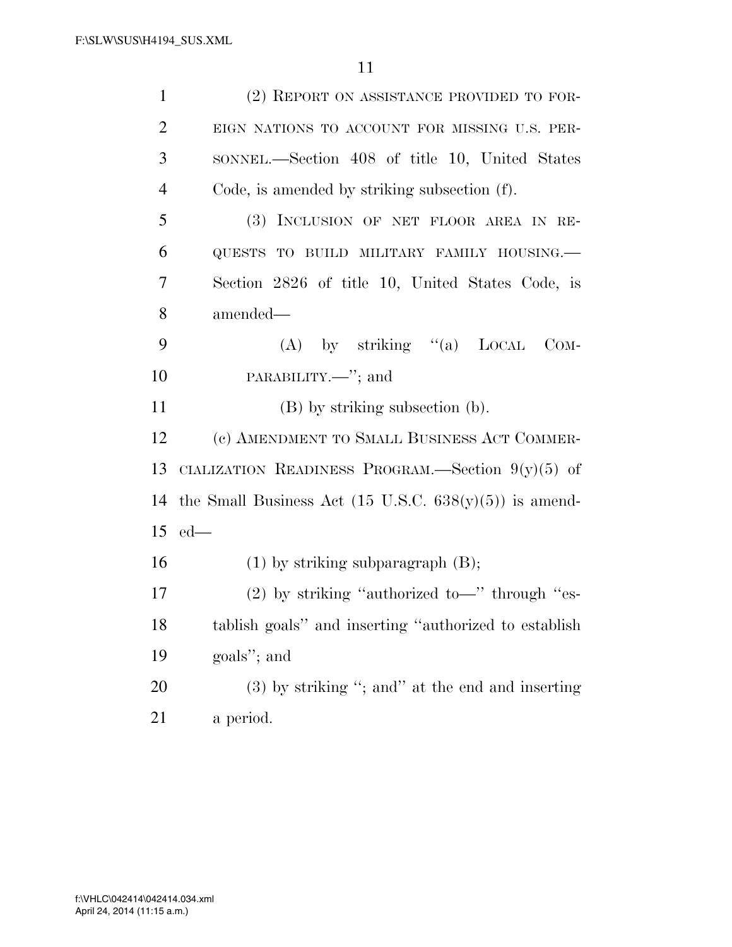| $\mathbf{1}$   | (2) REPORT ON ASSISTANCE PROVIDED TO FOR-                         |
|----------------|-------------------------------------------------------------------|
| $\overline{2}$ | EIGN NATIONS TO ACCOUNT FOR MISSING U.S. PER-                     |
| 3              | SONNEL.—Section 408 of title 10, United States                    |
| $\overline{4}$ | Code, is amended by striking subsection (f).                      |
| 5              | (3) INCLUSION OF NET FLOOR AREA IN RE-                            |
| 6              | QUESTS TO BUILD MILITARY FAMILY HOUSING.-                         |
| 7              | Section 2826 of title 10, United States Code, is                  |
| 8              | amended—                                                          |
| 9              | (A) by striking $(4)$ LOCAL<br>$_{\rm COM}$ -                     |
| 10             | PARABILITY.—"; and                                                |
| 11             | (B) by striking subsection (b).                                   |
| 12             | (c) AMENDMENT TO SMALL BUSINESS ACT COMMER-                       |
| 13             | CIALIZATION READINESS PROGRAM.—Section $9(y)(5)$ of               |
| 14             | the Small Business Act $(15 \text{ U.S.C. } 638(y)(5))$ is amend- |
| 15             | $ed$ —                                                            |
| 16             | $(1)$ by striking subparagraph $(B)$ ;                            |
| 17             | $(2)$ by striking "authorized to-" through "es-                   |
| 18             | tablish goals" and inserting "authorized to establish             |
| 19             | goals"; and                                                       |
| 20             | $(3)$ by striking "; and" at the end and inserting                |
| 21             | a period.                                                         |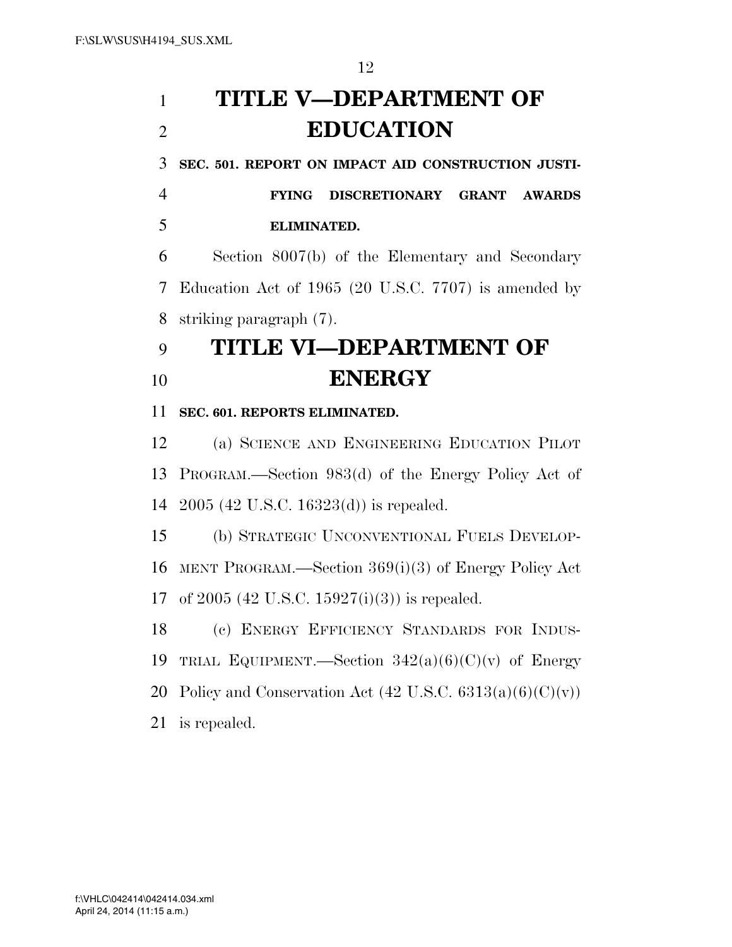# **TITLE V—DEPARTMENT OF EDUCATION**

**SEC. 501. REPORT ON IMPACT AID CONSTRUCTION JUSTI-**

 **FYING DISCRETIONARY GRANT AWARDS ELIMINATED.** 

 Section 8007(b) of the Elementary and Secondary Education Act of 1965 (20 U.S.C. 7707) is amended by striking paragraph (7).

## **TITLE VI—DEPARTMENT OF ENERGY**

**SEC. 601. REPORTS ELIMINATED.** 

 (a) SCIENCE AND ENGINEERING EDUCATION PILOT PROGRAM.—Section 983(d) of the Energy Policy Act of 2005 (42 U.S.C. 16323(d)) is repealed.

 (b) STRATEGIC UNCONVENTIONAL FUELS DEVELOP- MENT PROGRAM.—Section 369(i)(3) of Energy Policy Act of 2005 (42 U.S.C. 15927(i)(3)) is repealed.

 (c) ENERGY EFFICIENCY STANDARDS FOR INDUS-19 TRIAL EQUIPMENT.—Section  $342(a)(6)(C)(v)$  of Energy 20 Policy and Conservation Act  $(42 \text{ U.S.C. } 6313(a)(6)(C)(v))$ is repealed.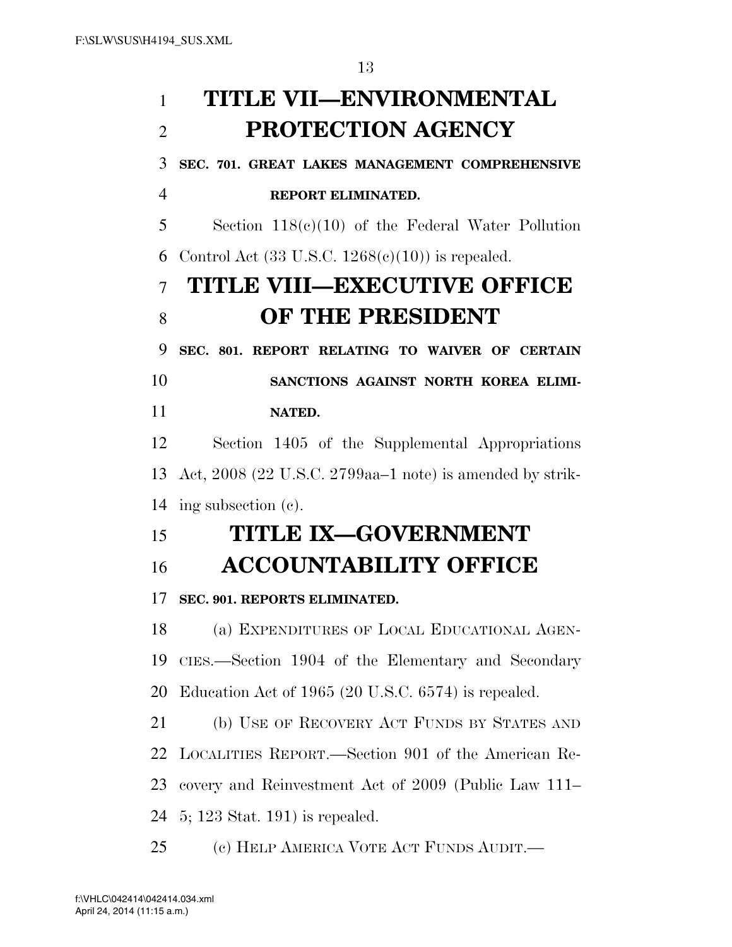# **TITLE VII—ENVIRONMENTAL PROTECTION AGENCY SEC. 701. GREAT LAKES MANAGEMENT COMPREHENSIVE REPORT ELIMINATED.**  Section 118(c)(10) of the Federal Water Pollution 6 Control Act  $(33 \text{ U.S.C. } 1268(c)(10))$  is repealed. **TITLE VIII—EXECUTIVE OFFICE OF THE PRESIDENT SEC. 801. REPORT RELATING TO WAIVER OF CERTAIN SANCTIONS AGAINST NORTH KOREA ELIMI- NATED.**  Section 1405 of the Supplemental Appropriations Act, 2008 (22 U.S.C. 2799aa–1 note) is amended by strik- ing subsection (c). **TITLE IX—GOVERNMENT ACCOUNTABILITY OFFICE SEC. 901. REPORTS ELIMINATED.**  (a) EXPENDITURES OF LOCAL EDUCATIONAL AGEN- CIES.—Section 1904 of the Elementary and Secondary Education Act of 1965 (20 U.S.C. 6574) is repealed. (b) USE OF RECOVERY ACT FUNDS BY STATES AND LOCALITIES REPORT.—Section 901 of the American Re- covery and Reinvestment Act of 2009 (Public Law 111– 5; 123 Stat. 191) is repealed. (c) HELP AMERICA VOTE ACT FUNDS AUDIT.—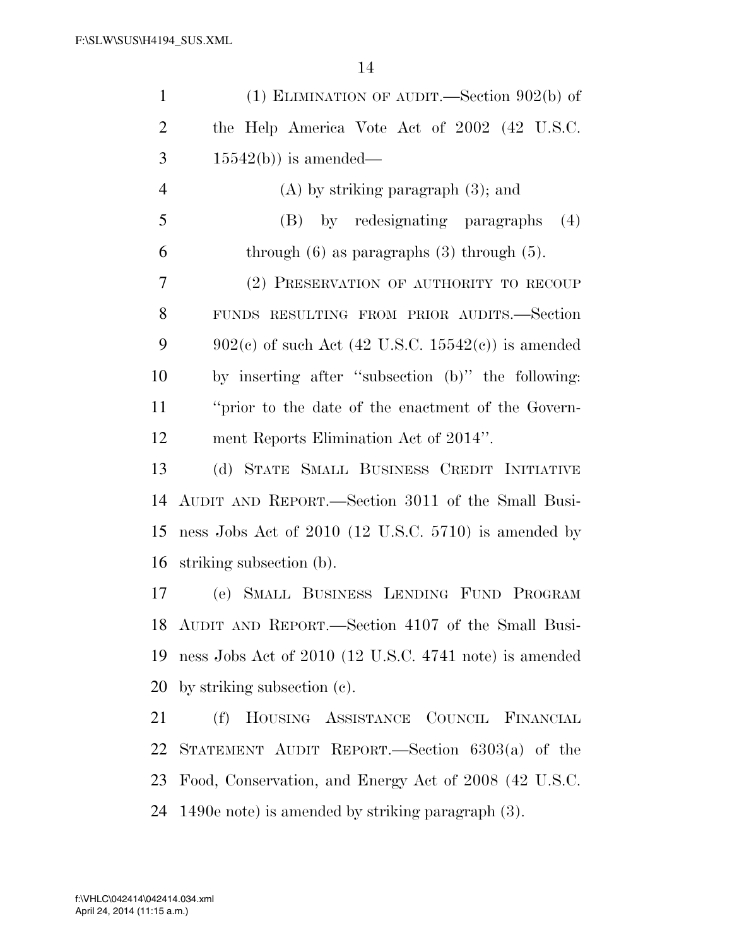| $\mathbf{1}$   | (1) ELIMINATION OF AUDIT.—Section $902(b)$ of          |
|----------------|--------------------------------------------------------|
| $\overline{2}$ | the Help America Vote Act of 2002 (42 U.S.C.           |
| 3              | $15542(b)$ ) is amended—                               |
| $\overline{4}$ | $(A)$ by striking paragraph $(3)$ ; and                |
| 5              | (B) by redesignating paragraphs<br>(4)                 |
| 6              | through $(6)$ as paragraphs $(3)$ through $(5)$ .      |
| 7              | (2) PRESERVATION OF AUTHORITY TO RECOUP                |
| 8              | FUNDS RESULTING FROM PRIOR AUDITS.-Section             |
| 9              | $902(c)$ of such Act (42 U.S.C. 15542(c)) is amended   |
| 10             | by inserting after "subsection (b)" the following:     |
| 11             | "prior to the date of the enactment of the Govern-     |
| 12             | ment Reports Elimination Act of 2014".                 |
| 13             | (d) STATE SMALL BUSINESS CREDIT INITIATIVE             |
| 14             | AUDIT AND REPORT.—Section 3011 of the Small Busi-      |
| 15             | ness Jobs Act of 2010 (12 U.S.C. 5710) is amended by   |
| 16             | striking subsection (b).                               |
| 17             | (e) SMALL BUSINESS LENDING FUND PROGRAM                |
|                | 18 AUDIT AND REPORT.—Section 4107 of the Small Busi-   |
| 19             | ness Jobs Act of 2010 (12 U.S.C. 4741 note) is amended |
| 20             | by striking subsection (c).                            |
| 21             | HOUSING ASSISTANCE COUNCIL FINANCIAL<br>(f)            |
| 22             | STATEMENT AUDIT REPORT.—Section 6303(a) of the         |
| 23             | Food, Conservation, and Energy Act of 2008 (42 U.S.C.  |
| 24             | 1490e note) is amended by striking paragraph (3).      |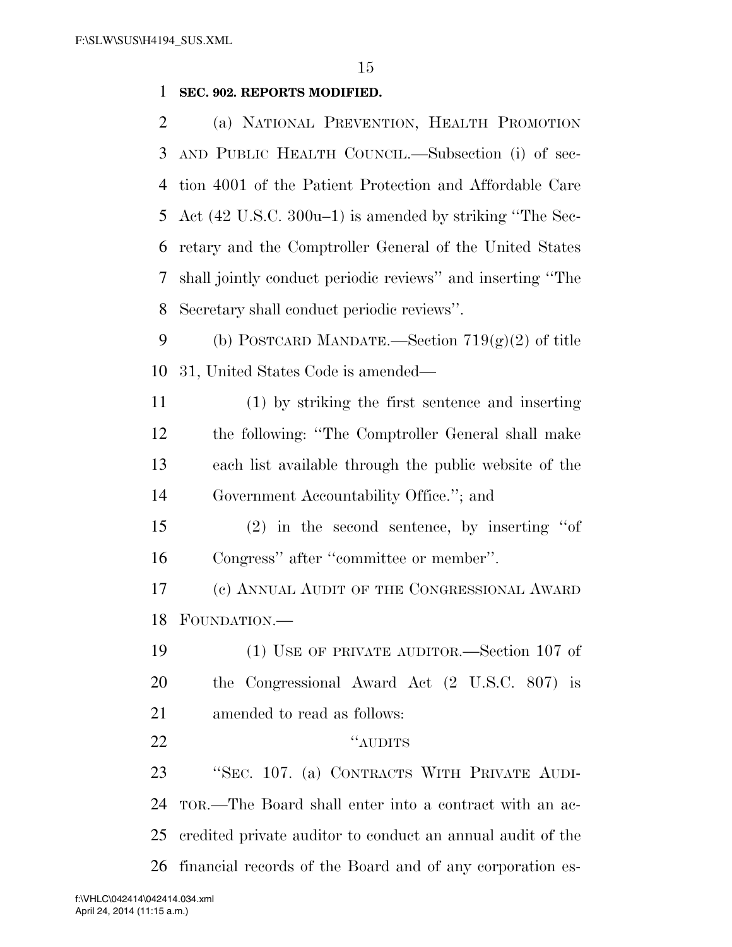## **SEC. 902. REPORTS MODIFIED.**

 (a) NATIONAL PREVENTION, HEALTH PROMOTION AND PUBLIC HEALTH COUNCIL.—Subsection (i) of sec- tion 4001 of the Patient Protection and Affordable Care Act (42 U.S.C. 300u–1) is amended by striking ''The Sec- retary and the Comptroller General of the United States shall jointly conduct periodic reviews'' and inserting ''The Secretary shall conduct periodic reviews''.

- 9 (b) POSTCARD MANDATE.—Section  $719(g)(2)$  of title 31, United States Code is amended—
- (1) by striking the first sentence and inserting the following: ''The Comptroller General shall make each list available through the public website of the Government Accountability Office.''; and
- (2) in the second sentence, by inserting ''of Congress'' after ''committee or member''.
- (c) ANNUAL AUDIT OF THE CONGRESSIONAL AWARD FOUNDATION.—
- (1) USE OF PRIVATE AUDITOR.—Section 107 of the Congressional Award Act (2 U.S.C. 807) is amended to read as follows:
- 22 "AUDITS"

 ''SEC. 107. (a) CONTRACTS WITH PRIVATE AUDI- TOR.—The Board shall enter into a contract with an ac- credited private auditor to conduct an annual audit of the financial records of the Board and of any corporation es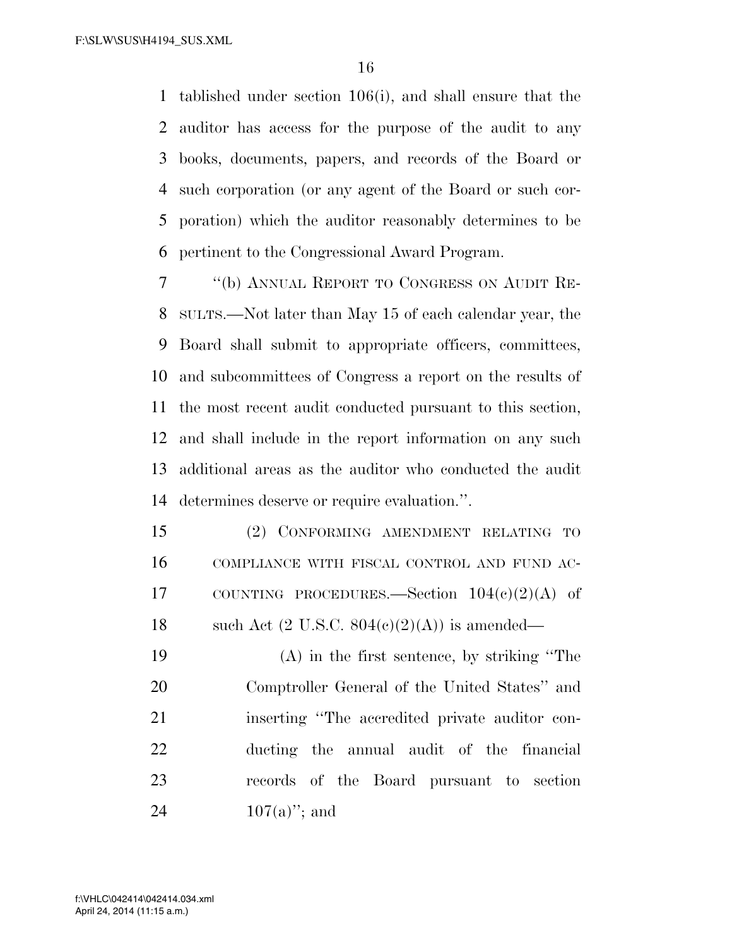tablished under section 106(i), and shall ensure that the auditor has access for the purpose of the audit to any books, documents, papers, and records of the Board or such corporation (or any agent of the Board or such cor- poration) which the auditor reasonably determines to be pertinent to the Congressional Award Program.

 ''(b) ANNUAL REPORT TO CONGRESS ON AUDIT RE- SULTS.—Not later than May 15 of each calendar year, the Board shall submit to appropriate officers, committees, and subcommittees of Congress a report on the results of the most recent audit conducted pursuant to this section, and shall include in the report information on any such additional areas as the auditor who conducted the audit determines deserve or require evaluation.''.

 (2) CONFORMING AMENDMENT RELATING TO COMPLIANCE WITH FISCAL CONTROL AND FUND AC- COUNTING PROCEDURES.—Section 104(c)(2)(A) of 18 such Act  $(2 \text{ U.S.C. } 804(c)(2)(\text{A}))$  is amended—

 (A) in the first sentence, by striking ''The Comptroller General of the United States'' and inserting ''The accredited private auditor con- ducting the annual audit of the financial records of the Board pursuant to section  $107(a)$ "; and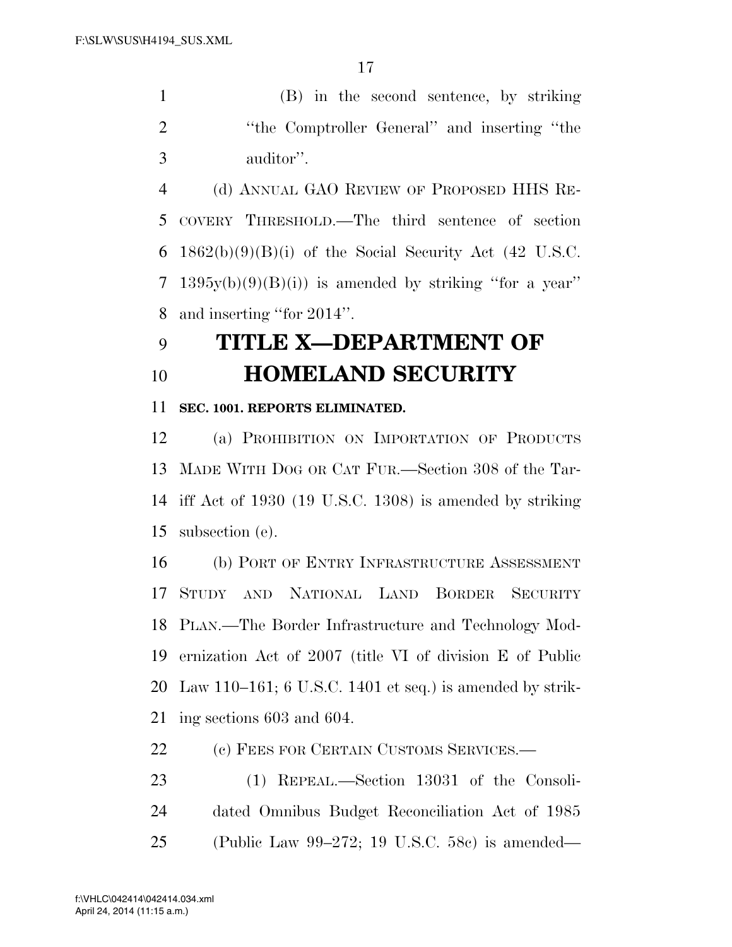(B) in the second sentence, by striking 2 "the Comptroller General" and inserting "the auditor''.

 (d) ANNUAL GAO REVIEW OF PROPOSED HHS RE- COVERY THRESHOLD.—The third sentence of section  $1862(b)(9)(B)(i)$  of the Social Security Act (42 U.S.C. 7 1395 $v(b)(9)(B)(i)$  is amended by striking "for a year" and inserting ''for 2014''.

## **TITLE X—DEPARTMENT OF HOMELAND SECURITY**

## **SEC. 1001. REPORTS ELIMINATED.**

 (a) PROHIBITION ON IMPORTATION OF PRODUCTS MADE WITH DOG OR CAT FUR.—Section 308 of the Tar- iff Act of 1930 (19 U.S.C. 1308) is amended by striking subsection (e).

 (b) PORT OF ENTRY INFRASTRUCTURE ASSESSMENT STUDY AND NATIONAL LAND BORDER SECURITY PLAN.—The Border Infrastructure and Technology Mod- ernization Act of 2007 (title VI of division E of Public Law 110–161; 6 U.S.C. 1401 et seq.) is amended by strik-ing sections 603 and 604.

22 (c) FEES FOR CERTAIN CUSTOMS SERVICES.—

 (1) REPEAL.—Section 13031 of the Consoli- dated Omnibus Budget Reconciliation Act of 1985 (Public Law 99–272; 19 U.S.C. 58c) is amended—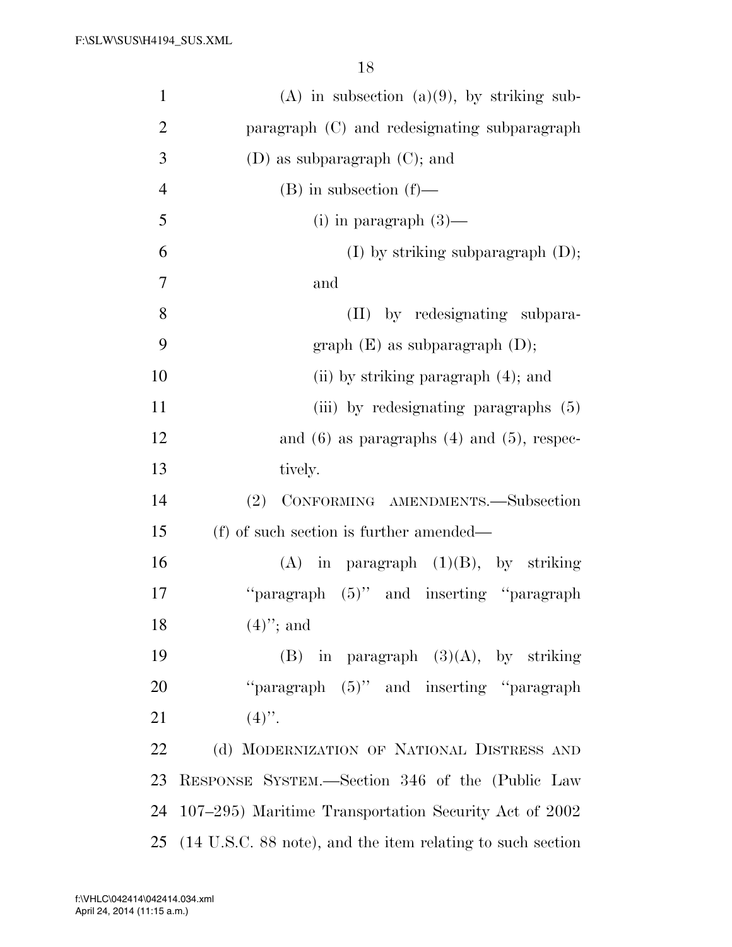| $\mathbf{1}$   | $(A)$ in subsection $(a)(9)$ , by striking sub-            |
|----------------|------------------------------------------------------------|
| $\overline{2}$ | paragraph (C) and redesignating subparagraph               |
| 3              | $(D)$ as subparagraph $(C)$ ; and                          |
| $\overline{4}$ | $(B)$ in subsection $(f)$ —                                |
| 5              | (i) in paragraph $(3)$ —                                   |
| 6              | $(I)$ by striking subparagraph $(D)$ ;                     |
| 7              | and                                                        |
| 8              | (II) by redesignating subpara-                             |
| 9              | graph $(E)$ as subparagraph $(D)$ ;                        |
| 10             | (ii) by striking paragraph $(4)$ ; and                     |
| 11             | (iii) by redesignating paragraphs (5)                      |
| 12             | and $(6)$ as paragraphs $(4)$ and $(5)$ , respec-          |
| 13             | tively.                                                    |
| 14             | CONFORMING AMENDMENTS.-Subsection<br>(2)                   |
| 15             | (f) of such section is further amended—                    |
| 16             | $(A)$ in paragraph $(1)(B)$ , by striking                  |
| 17             | "paragraph $(5)$ " and inserting "paragraph"               |
| 18             | $(4)$ "; and                                               |
| 19             | $(B)$ in paragraph $(3)(A)$ , by striking                  |
| 20             | "paragraph $(5)$ " and inserting "paragraph"               |
| 21             | $(4)$ ".                                                   |
| 22             | (d) MODERNIZATION OF NATIONAL DISTRESS AND                 |
| 23             | RESPONSE SYSTEM.—Section 346 of the (Public Law            |
| 24             | 107–295) Maritime Transportation Security Act of 2002      |
| 25             | (14 U.S.C. 88 note), and the item relating to such section |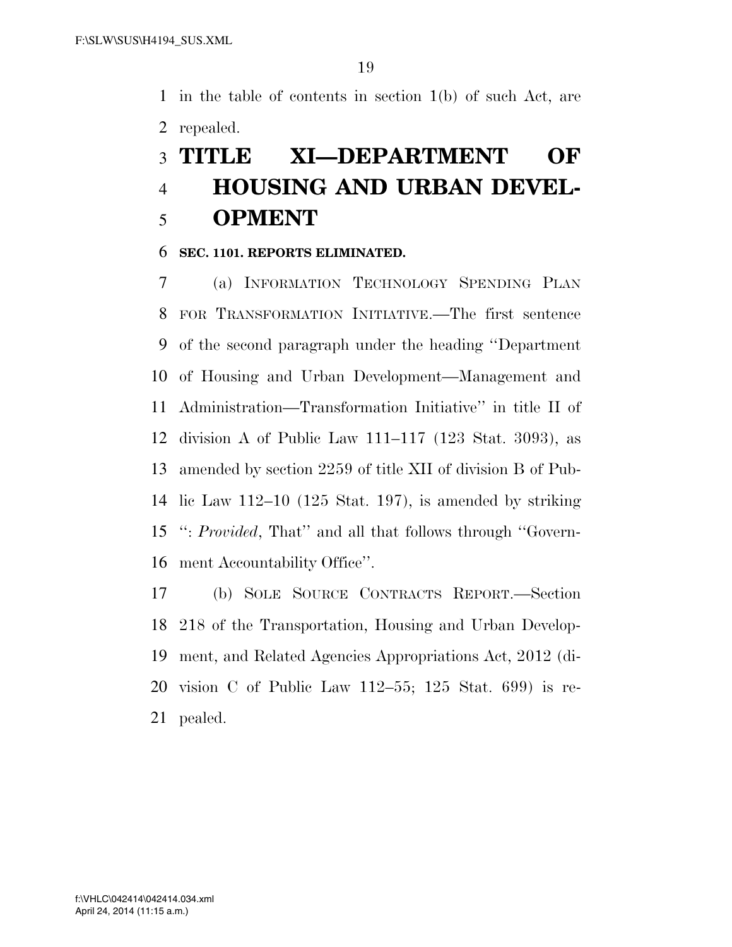in the table of contents in section 1(b) of such Act, are repealed.

## **TITLE XI—DEPARTMENT OF HOUSING AND URBAN DEVEL-OPMENT**

### **SEC. 1101. REPORTS ELIMINATED.**

 (a) INFORMATION TECHNOLOGY SPENDING PLAN FOR TRANSFORMATION INITIATIVE.—The first sentence of the second paragraph under the heading ''Department of Housing and Urban Development—Management and Administration—Transformation Initiative'' in title II of division A of Public Law 111–117 (123 Stat. 3093), as amended by section 2259 of title XII of division B of Pub- lic Law 112–10 (125 Stat. 197), is amended by striking '': *Provided*, That'' and all that follows through ''Govern-ment Accountability Office''.

 (b) SOLE SOURCE CONTRACTS REPORT.—Section 218 of the Transportation, Housing and Urban Develop- ment, and Related Agencies Appropriations Act, 2012 (di- vision C of Public Law 112–55; 125 Stat. 699) is re-pealed.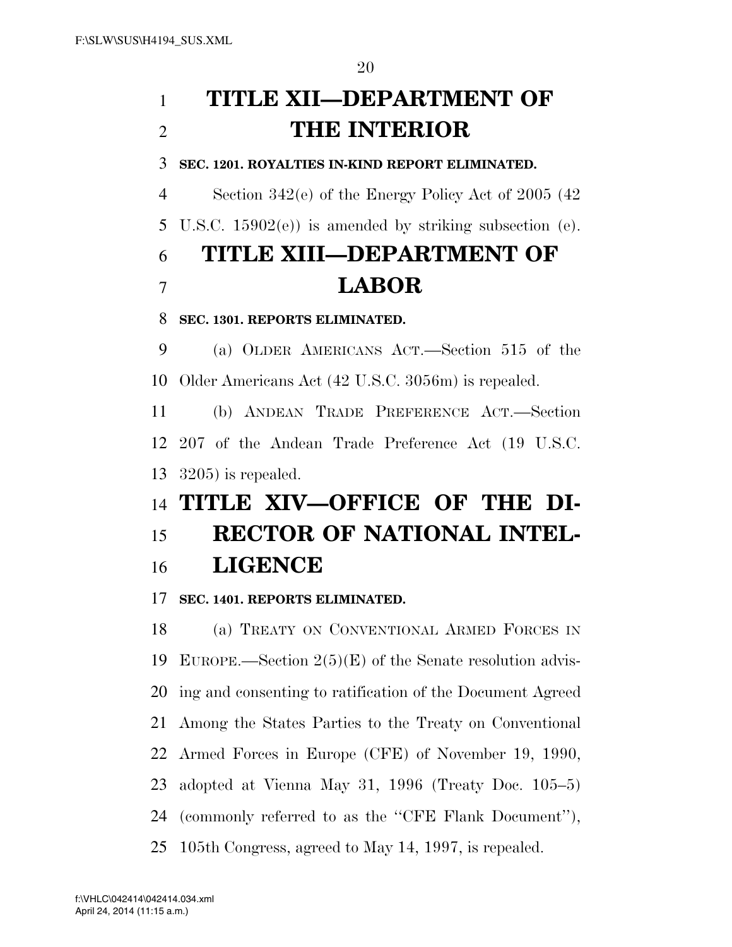## **TITLE XII—DEPARTMENT OF THE INTERIOR**

**SEC. 1201. ROYALTIES IN-KIND REPORT ELIMINATED.** 

Section 342(e) of the Energy Policy Act of 2005 (42

U.S.C. 15902(e)) is amended by striking subsection (e).

# **TITLE XIII—DEPARTMENT OF LABOR**

## **SEC. 1301. REPORTS ELIMINATED.**

 (a) OLDER AMERICANS ACT.—Section 515 of the Older Americans Act (42 U.S.C. 3056m) is repealed.

 (b) ANDEAN TRADE PREFERENCE ACT.—Section 207 of the Andean Trade Preference Act (19 U.S.C. 3205) is repealed.

# **TITLE XIV—OFFICE OF THE DI- RECTOR OF NATIONAL INTEL-LIGENCE**

**SEC. 1401. REPORTS ELIMINATED.** 

 (a) TREATY ON CONVENTIONAL ARMED FORCES IN EUROPE.—Section 2(5)(E) of the Senate resolution advis- ing and consenting to ratification of the Document Agreed Among the States Parties to the Treaty on Conventional Armed Forces in Europe (CFE) of November 19, 1990, adopted at Vienna May 31, 1996 (Treaty Doc. 105–5) (commonly referred to as the ''CFE Flank Document''), 105th Congress, agreed to May 14, 1997, is repealed.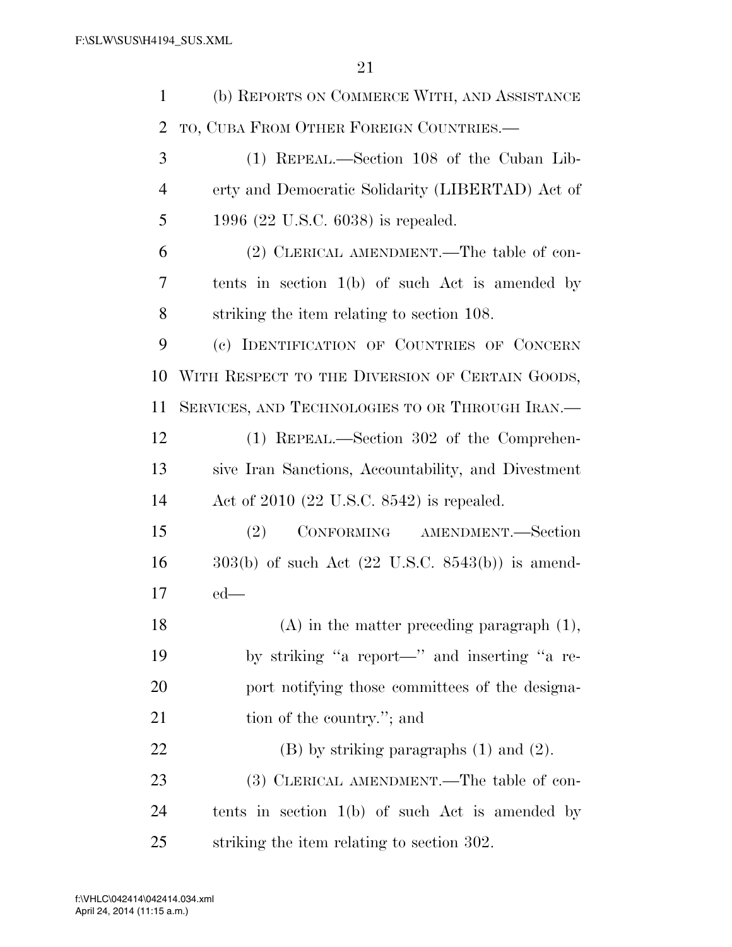| $\mathbf{1}$   | (b) REPORTS ON COMMERCE WITH, AND ASSISTANCE                  |
|----------------|---------------------------------------------------------------|
| $\overline{2}$ | TO, CUBA FROM OTHER FOREIGN COUNTRIES.—                       |
| 3              | (1) REPEAL.—Section 108 of the Cuban Lib-                     |
| $\overline{4}$ | erty and Democratic Solidarity (LIBERTAD) Act of              |
| 5              | 1996 $(22 \text{ U.S.C. } 6038)$ is repealed.                 |
| 6              | (2) CLERICAL AMENDMENT.—The table of con-                     |
| 7              | tents in section $1(b)$ of such Act is amended by             |
| 8              | striking the item relating to section 108.                    |
| 9              | (c) IDENTIFICATION OF COUNTRIES OF CONCERN                    |
| 10             | WITH RESPECT TO THE DIVERSION OF CERTAIN GOODS,               |
| 11             | SERVICES, AND TECHNOLOGIES TO OR THROUGH IRAN.                |
| 12             | (1) REPEAL.—Section 302 of the Comprehen-                     |
| 13             | sive Iran Sanctions, Accountability, and Divestment           |
| 14             | Act of $2010$ (22 U.S.C. 8542) is repealed.                   |
| 15             | CONFORMING AMENDMENT.—Section<br>(2)                          |
| 16             | $303(b)$ of such Act $(22 \text{ U.S.C. } 8543(b))$ is amend- |
| 17             | $ed$ —                                                        |
| 18             | $(A)$ in the matter preceding paragraph $(1)$ ,               |
| 19             | by striking "a report—" and inserting "a re-                  |
| 20             | port notifying those committees of the designa-               |
| 21             | tion of the country."; and                                    |
| 22             | $(B)$ by striking paragraphs $(1)$ and $(2)$ .                |
| 23             | (3) CLERICAL AMENDMENT.—The table of con-                     |
| 24             | tents in section $1(b)$ of such Act is amended by             |
| 25             | striking the item relating to section 302.                    |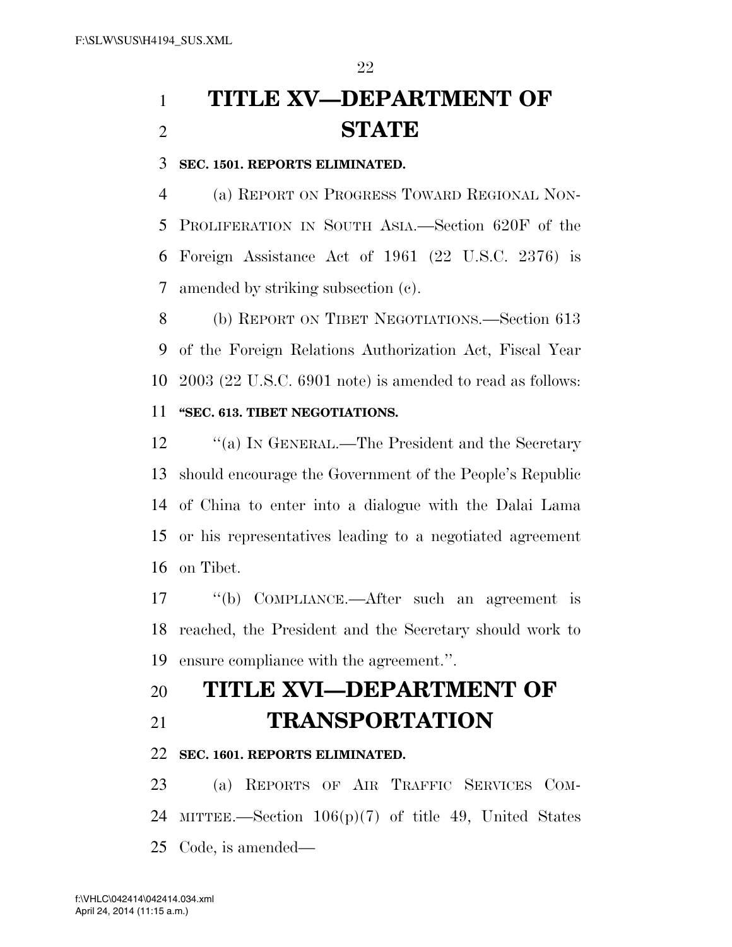# **TITLE XV—DEPARTMENT OF STATE**

**SEC. 1501. REPORTS ELIMINATED.** 

 (a) REPORT ON PROGRESS TOWARD REGIONAL NON- PROLIFERATION IN SOUTH ASIA.—Section 620F of the Foreign Assistance Act of 1961 (22 U.S.C. 2376) is amended by striking subsection (c).

 (b) REPORT ON TIBET NEGOTIATIONS.—Section 613 of the Foreign Relations Authorization Act, Fiscal Year 2003 (22 U.S.C. 6901 note) is amended to read as follows: **''SEC. 613. TIBET NEGOTIATIONS.** 

12 "(a) IN GENERAL.—The President and the Secretary should encourage the Government of the People's Republic of China to enter into a dialogue with the Dalai Lama or his representatives leading to a negotiated agreement on Tibet.

 ''(b) COMPLIANCE.—After such an agreement is reached, the President and the Secretary should work to ensure compliance with the agreement.''.

## **TITLE XVI—DEPARTMENT OF**

## **TRANSPORTATION**

## **SEC. 1601. REPORTS ELIMINATED.**

 (a) REPORTS OF AIR TRAFFIC SERVICES COM- MITTEE.—Section 106(p)(7) of title 49, United States Code, is amended—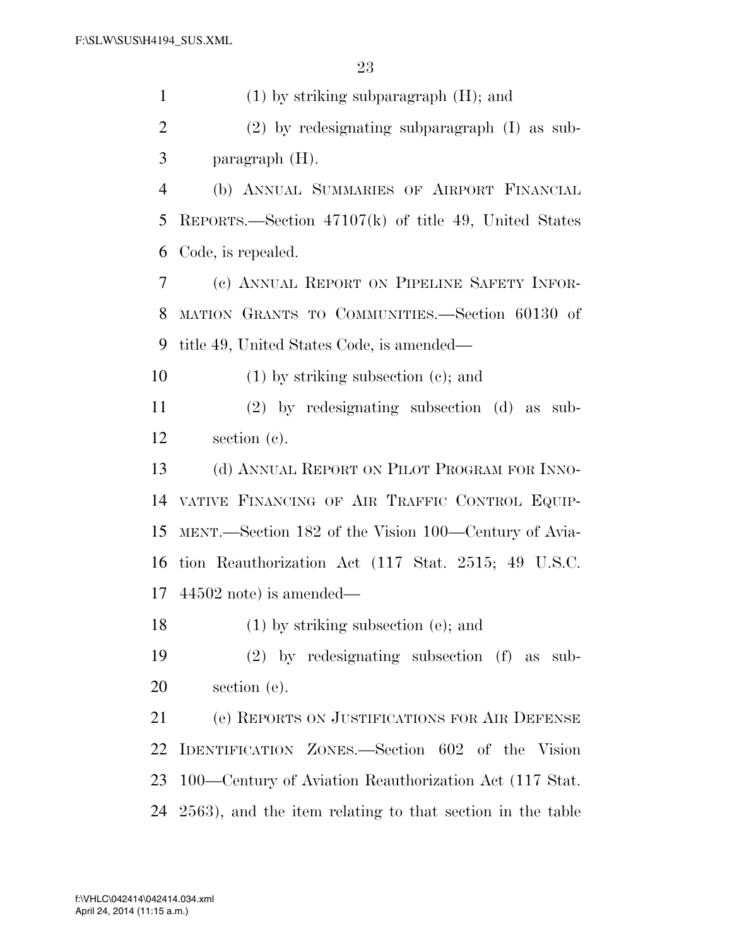(1) by striking subparagraph (H); and (2) by redesignating subparagraph (I) as sub- paragraph (H). (b) ANNUAL SUMMARIES OF AIRPORT FINANCIAL REPORTS.—Section 47107(k) of title 49, United States Code, is repealed. (c) ANNUAL REPORT ON PIPELINE SAFETY INFOR- MATION GRANTS TO COMMUNITIES.—Section 60130 of title 49, United States Code, is amended— (1) by striking subsection (c); and (2) by redesignating subsection (d) as sub- section (c). 13 (d) ANNUAL REPORT ON PILOT PROGRAM FOR INNO- VATIVE FINANCING OF AIR TRAFFIC CONTROL EQUIP- MENT.—Section 182 of the Vision 100—Century of Avia- tion Reauthorization Act (117 Stat. 2515; 49 U.S.C. 44502 note) is amended— (1) by striking subsection (e); and (2) by redesignating subsection (f) as sub- section (e). (e) REPORTS ON JUSTIFICATIONS FOR AIR DEFENSE IDENTIFICATION ZONES.—Section 602 of the Vision 100—Century of Aviation Reauthorization Act (117 Stat. 2563), and the item relating to that section in the table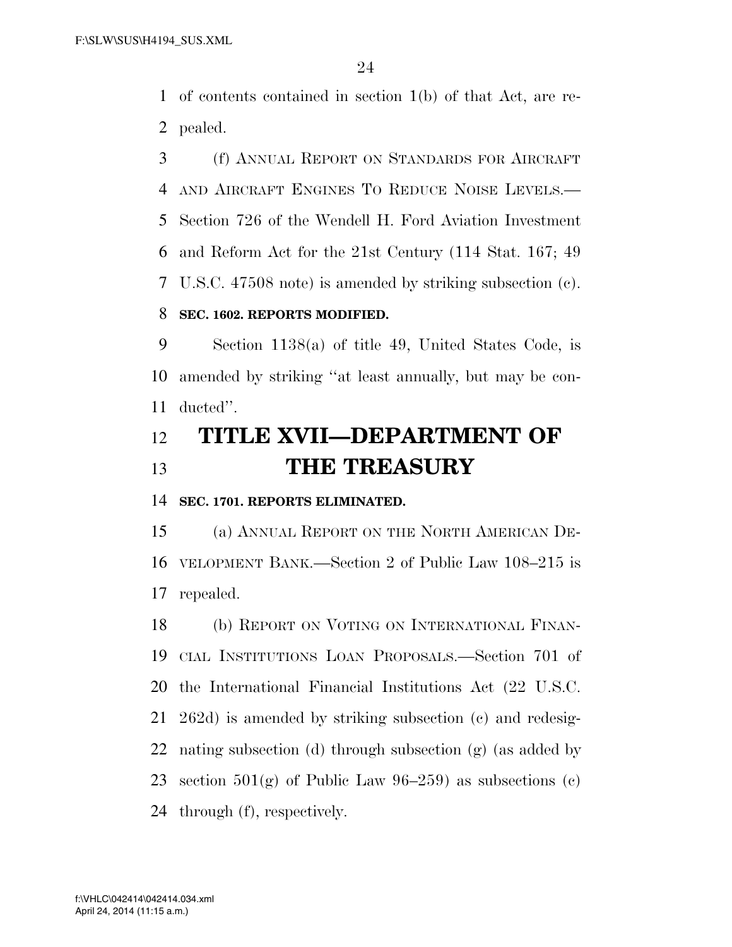of contents contained in section 1(b) of that Act, are re-pealed.

 (f) ANNUAL REPORT ON STANDARDS FOR AIRCRAFT AND AIRCRAFT ENGINES TO REDUCE NOISE LEVELS.— Section 726 of the Wendell H. Ford Aviation Investment and Reform Act for the 21st Century (114 Stat. 167; 49 U.S.C. 47508 note) is amended by striking subsection (c).

## **SEC. 1602. REPORTS MODIFIED.**

 Section 1138(a) of title 49, United States Code, is amended by striking ''at least annually, but may be con-ducted''.

## **TITLE XVII—DEPARTMENT OF THE TREASURY**

**SEC. 1701. REPORTS ELIMINATED.** 

 (a) ANNUAL REPORT ON THE NORTH AMERICAN DE- VELOPMENT BANK.—Section 2 of Public Law 108–215 is repealed.

 (b) REPORT ON VOTING ON INTERNATIONAL FINAN- CIAL INSTITUTIONS LOAN PROPOSALS.—Section 701 of the International Financial Institutions Act (22 U.S.C. 262d) is amended by striking subsection (c) and redesig- nating subsection (d) through subsection (g) (as added by 23 section  $501(g)$  of Public Law 96-259) as subsections (c) through (f), respectively.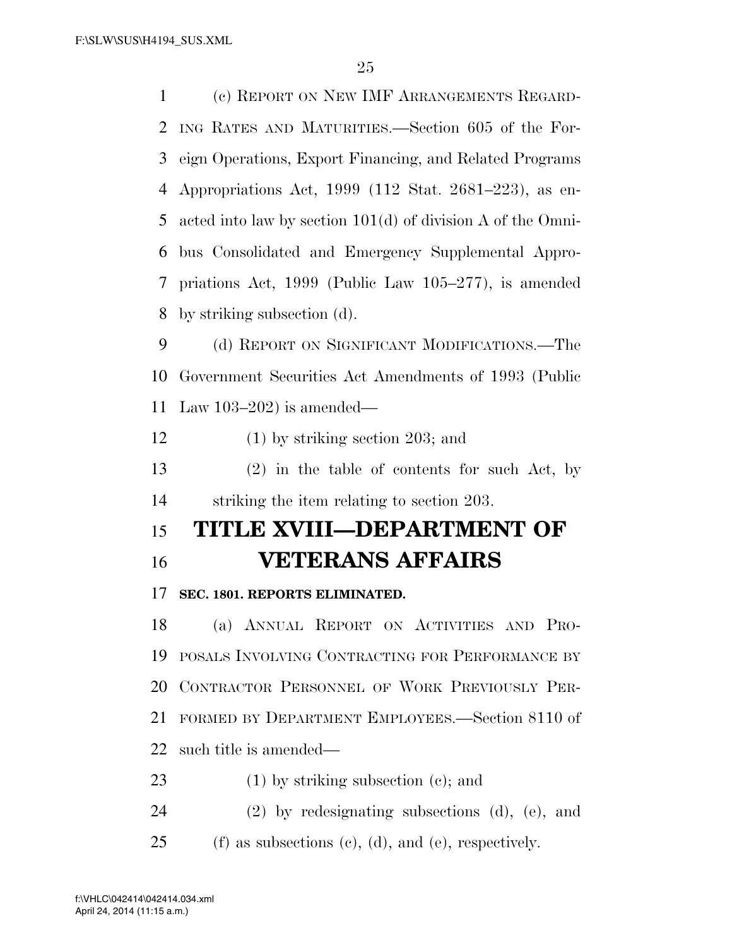| $\mathbf 1$ | (c) REPORT ON NEW IMF ARRANGEMENTS REGARD-                    |
|-------------|---------------------------------------------------------------|
| 2           | ING RATES AND MATURITIES.—Section 605 of the For-             |
| 3           | eign Operations, Export Financing, and Related Programs       |
| 4           | Appropriations Act, 1999 (112 Stat. 2681–223), as en-         |
| 5           | acted into law by section $101(d)$ of division A of the Omni- |
| 6           | bus Consolidated and Emergency Supplemental Appro-            |
| 7           | priations Act, $1999$ (Public Law $105-277$ ), is amended     |
| 8           | by striking subsection (d).                                   |
| 9           | (d) REPORT ON SIGNIFICANT MODIFICATIONS.—The                  |
| 10          | Government Securities Act Amendments of 1993 (Public          |
| 11          | Law $103-202$ ) is amended—                                   |
| 12          | $(1)$ by striking section 203; and                            |
| 13          | $(2)$ in the table of contents for such Act, by               |
| 14          | striking the item relating to section 203.                    |
| 15          | TITLE XVIII—DEPARTMENT OF                                     |
| 16          | <b>VETERANS AFFAIRS</b>                                       |
| 17          | SEC. 1801. REPORTS ELIMINATED.                                |
| 18          | (a) ANNUAL REPORT ON ACTIVITIES AND PRO-                      |
| 19          | POSALS INVOLVING CONTRACTING FOR PERFORMANCE BY               |
| 20          | CONTRACTOR PERSONNEL OF WORK PREVIOUSLY PER-                  |
| 21          | FORMED BY DEPARTMENT EMPLOYEES.—Section 8110 of               |
| 22          | such title is amended—                                        |
| 23          | $(1)$ by striking subsection $(e)$ ; and                      |
| 24          | $(2)$ by redesignating subsections $(d)$ , $(e)$ , and        |

25 (f) as subsections (c), (d), and (e), respectively.